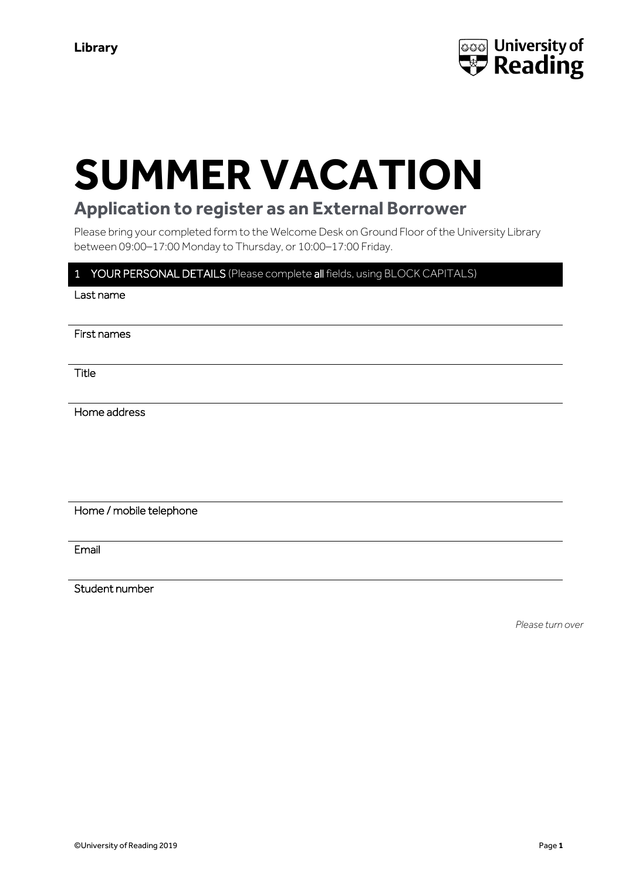

# **SUMMER VACATION**

# **Application to register as an External Borrower**

Please bring your completed form to the Welcome Desk on Ground Floor of the University Library between 09:00–17:00 Monday to Thursday, or 10:00–17:00 Friday.

## 1 YOUR PERSONAL DETAILS (Please complete all fields, using BLOCK CAPITALS)

Last name

First names

Title

Home address

Home / mobile telephone

Email

Student number

*Please turn over*